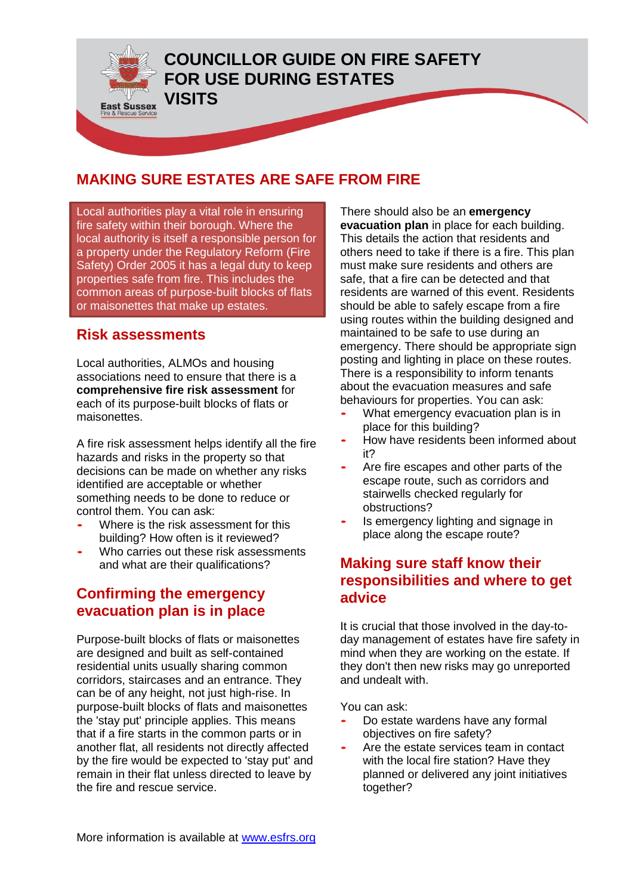

#### **MAKING SURE ESTATES ARE SAFE FROM FIRE**

Local authorities play a vital role in ensuring fire safety within their borough. Where the local authority is itself a responsible person for a property under the Regulatory Reform (Fire Safety) Order 2005 it has a legal duty to keep properties safe from fire. This includes the common areas of purpose-built blocks of flats or maisonettes that make up estates.

#### **Risk assessments**

Local authorities, ALMOs and housing associations need to ensure that there is a **comprehensive fire risk assessment** for each of its purpose-built blocks of flats or maisonettes.

A fire risk assessment helps identify all the fire hazards and risks in the property so that decisions can be made on whether any risks identified are acceptable or whether something needs to be done to reduce or control them. You can ask:

- Where is the risk assessment for this building? How often is it reviewed?
- Who carries out these risk assessments and what are their qualifications?

### **Confirming the emergency evacuation plan is in place**

Purpose-built blocks of flats or maisonettes are designed and built as self-contained residential units usually sharing common corridors, staircases and an entrance. They can be of any height, not just high-rise. In purpose-built blocks of flats and maisonettes the 'stay put' principle applies. This means that if a fire starts in the common parts or in another flat, all residents not directly affected by the fire would be expected to 'stay put' and remain in their flat unless directed to leave by the fire and rescue service.

There should also be an **emergency evacuation plan** in place for each building. This details the action that residents and others need to take if there is a fire. This plan must make sure residents and others are safe, that a fire can be detected and that residents are warned of this event. Residents should be able to safely escape from a fire using routes within the building designed and maintained to be safe to use during an emergency. There should be appropriate sign posting and lighting in place on these routes. There is a responsibility to inform tenants about the evacuation measures and safe behaviours for properties. You can ask:

- What emergency evacuation plan is in place for this building?
- How have residents been informed about it?
- Are fire escapes and other parts of the escape route, such as corridors and stairwells checked regularly for obstructions?
- Is emergency lighting and signage in place along the escape route?

#### **Making sure staff know their responsibilities and where to get advice**

It is crucial that those involved in the day-today management of estates have fire safety in mind when they are working on the estate. If they don't then new risks may go unreported and undealt with.

You can ask:

- Do estate wardens have any formal objectives on fire safety?
- Are the estate services team in contact with the local fire station? Have they planned or delivered any joint initiatives together?